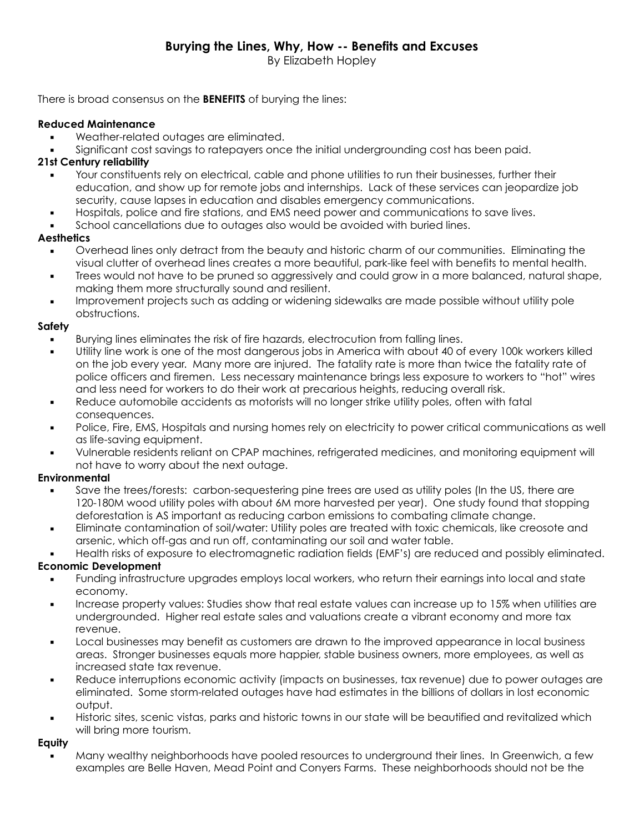By Elizabeth Hopley

There is broad consensus on the **BENEFITS** of burying the lines:

#### **Reduced Maintenance**

- Weather-related outages are eliminated.
- Significant cost savings to ratepayers once the initial undergrounding cost has been paid.

# **21st Century reliability**

- Your constituents rely on electrical, cable and phone utilities to run their businesses, further their education, and show up for remote jobs and internships. Lack of these services can jeopardize job security, cause lapses in education and disables emergency communications.
- Hospitals, police and fire stations, and EMS need power and communications to save lives.
- School cancellations due to outages also would be avoided with buried lines.

## **Aesthetics**

- Overhead lines only detract from the beauty and historic charm of our communities. Eliminating the visual clutter of overhead lines creates a more beautiful, park-like feel with benefits to mental health.
- Trees would not have to be pruned so aggressively and could grow in a more balanced, natural shape, making them more structurally sound and resilient.
- Improvement projects such as adding or widening sidewalks are made possible without utility pole obstructions.

### **Safety**

- Burying lines eliminates the risk of fire hazards, electrocution from falling lines.
- Utility line work is one of the most dangerous jobs in America with about 40 of every 100k workers killed on the job every year. Many more are injured. The fatality rate is more than twice the fatality rate of police officers and firemen. Less necessary maintenance brings less exposure to workers to "hot" wires and less need for workers to do their work at precarious heights, reducing overall risk.
- Reduce automobile accidents as motorists will no longer strike utility poles, often with fatal consequences.
- Police, Fire, EMS, Hospitals and nursing homes rely on electricity to power critical communications as well as life-saving equipment.
- Vulnerable residents reliant on CPAP machines, refrigerated medicines, and monitoring equipment will not have to worry about the next outage.

## **Environmental**

- Save the trees/forests: carbon-sequestering pine trees are used as utility poles (In the US, there are 120-180M wood utility poles with about 6M more harvested per year). One study found that stopping deforestation is AS important as reducing carbon emissions to combating climate change.
- Eliminate contamination of soil/water: Utility poles are treated with toxic chemicals, like creosote and arsenic, which off-gas and run off, contaminating our soil and water table.
- Health risks of exposure to electromagnetic radiation fields (EMF's) are reduced and possibly eliminated. **Economic Development**
	- Funding infrastructure upgrades employs local workers, who return their earnings into local and state economy.
	- Increase property values: Studies show that real estate values can increase up to 15% when utilities are undergrounded. Higher real estate sales and valuations create a vibrant economy and more tax revenue.
	- Local businesses may benefit as customers are drawn to the improved appearance in local business areas. Stronger businesses equals more happier, stable business owners, more employees, as well as increased state tax revenue.
	- Reduce interruptions economic activity (impacts on businesses, tax revenue) due to power outages are eliminated. Some storm-related outages have had estimates in the billions of dollars in lost economic output.
	- **EXEDENT Historic sites, scenic vistas, parks and historic towns in our state will be beautified and revitalized which** will bring more tourism.

#### **Equity**

Many wealthy neighborhoods have pooled resources to underground their lines. In Greenwich, a few examples are Belle Haven, Mead Point and Conyers Farms. These neighborhoods should not be the